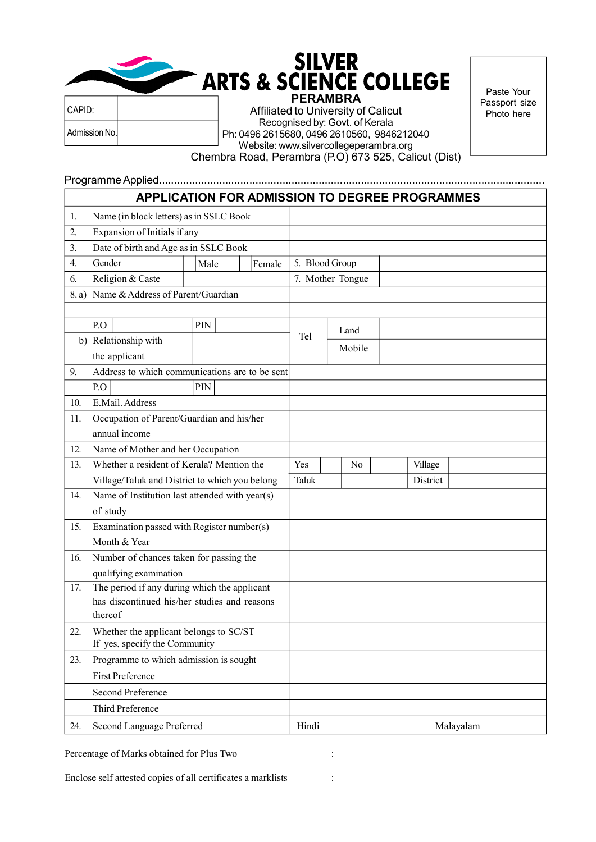## SILVER<br>ARTS & SCIENCE COLLEGE PERAMBRA

Admission No. CAPID:

Affiliated to University of Calicut Recognised by: Govt. of Kerala Ph: 0496 2615680, 0496 2610560, 9846212040 Website: www.silvercollegeperambra.org

Paste Your Passport size Photo here

Chembra Road, Perambra (P.O) 673 525, Calicut (Dist)

## Programme Applied................................................................................................................................

|      |                                                                        |      |        |                |                  | <b>APPLICATION FOR ADMISSION TO DEGREE PROGRAMMES</b> |           |
|------|------------------------------------------------------------------------|------|--------|----------------|------------------|-------------------------------------------------------|-----------|
| 1.   | Name (in block letters) as in SSLC Book                                |      |        |                |                  |                                                       |           |
| 2.   | Expansion of Initials if any                                           |      |        |                |                  |                                                       |           |
| 3.   | Date of birth and Age as in SSLC Book                                  |      |        |                |                  |                                                       |           |
| 4.   | Gender                                                                 | Male | Female | 5. Blood Group |                  |                                                       |           |
| 6.   | Religion & Caste                                                       |      |        |                | 7. Mother Tongue |                                                       |           |
| 8.a) | Name & Address of Parent/Guardian                                      |      |        |                |                  |                                                       |           |
|      |                                                                        |      |        |                |                  |                                                       |           |
|      | P.O                                                                    | PIN  |        |                | Land             |                                                       |           |
|      | b) Relationship with                                                   |      |        | Tel            | Mobile           |                                                       |           |
|      | the applicant                                                          |      |        |                |                  |                                                       |           |
| 9.   | Address to which communications are to be sent                         |      |        |                |                  |                                                       |           |
|      | P.O                                                                    | PIN  |        |                |                  |                                                       |           |
| 10.  | E.Mail. Address                                                        |      |        |                |                  |                                                       |           |
| 11.  | Occupation of Parent/Guardian and his/her                              |      |        |                |                  |                                                       |           |
|      | annual income                                                          |      |        |                |                  |                                                       |           |
| 12.  | Name of Mother and her Occupation                                      |      |        |                |                  |                                                       |           |
| 13.  | Whether a resident of Kerala? Mention the                              |      |        | Yes            | N <sub>0</sub>   | Village                                               |           |
|      | Village/Taluk and District to which you belong                         |      |        | Taluk          |                  | District                                              |           |
| 14.  | Name of Institution last attended with year(s)                         |      |        |                |                  |                                                       |           |
|      | of study                                                               |      |        |                |                  |                                                       |           |
| 15.  | Examination passed with Register number(s)                             |      |        |                |                  |                                                       |           |
|      | Month & Year                                                           |      |        |                |                  |                                                       |           |
| 16.  | Number of chances taken for passing the                                |      |        |                |                  |                                                       |           |
| 17.  | qualifying examination<br>The period if any during which the applicant |      |        |                |                  |                                                       |           |
|      | has discontinued his/her studies and reasons                           |      |        |                |                  |                                                       |           |
|      | thereof                                                                |      |        |                |                  |                                                       |           |
| 22.  | Whether the applicant belongs to SC/ST                                 |      |        |                |                  |                                                       |           |
|      | If yes, specify the Community                                          |      |        |                |                  |                                                       |           |
| 23.  | Programme to which admission is sought                                 |      |        |                |                  |                                                       |           |
|      | <b>First Preference</b>                                                |      |        |                |                  |                                                       |           |
|      | Second Preference                                                      |      |        |                |                  |                                                       |           |
|      | Third Preference                                                       |      |        |                |                  |                                                       |           |
| 24.  | Second Language Preferred                                              |      |        | Hindi          |                  |                                                       | Malayalam |

Percentage of Marks obtained for Plus Two :

Enclose self attested copies of all certificates a marklists :